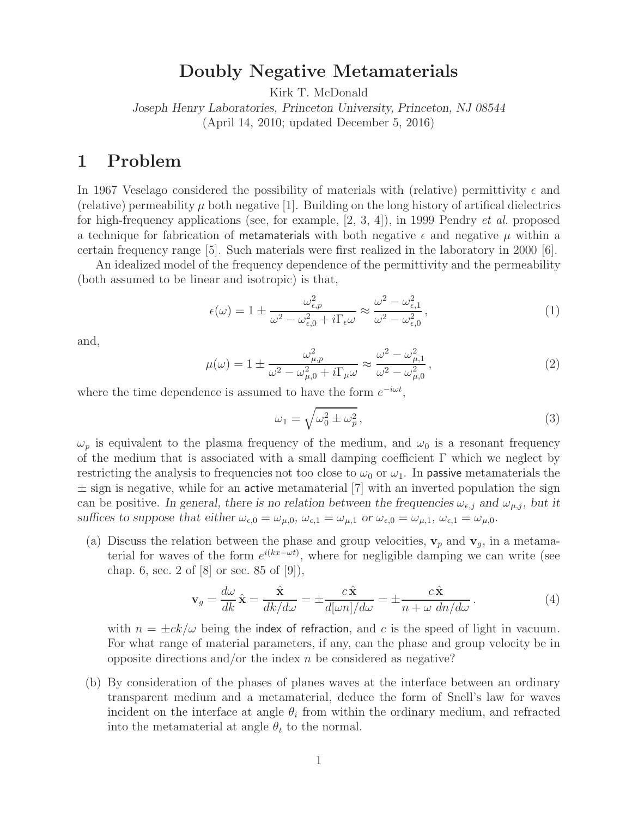### **Doubly Negative Metamaterials**

Kirk T. McDonald

*Joseph Henry Laboratories, Princeton University, Princeton, NJ 08544* (April 14, 2010; updated December 5, 2016)

### **1 Problem**

In 1967 Veselago considered the possibility of materials with (relative) permittivity  $\epsilon$  and (relative) permeability  $\mu$  both negative [1]. Building on the long history of artifical dielectrics for high-frequency applications (see, for example, [2, 3, 4]), in 1999 Pendry *et al.* proposed a technique for fabrication of metamaterials with both negative  $\epsilon$  and negative  $\mu$  within a certain frequency range [5]. Such materials were first realized in the laboratory in 2000 [6].

An idealized model of the frequency dependence of the permittivity and the permeability (both assumed to be linear and isotropic) is that,

$$
\epsilon(\omega) = 1 \pm \frac{\omega_{\epsilon,p}^2}{\omega^2 - \omega_{\epsilon,0}^2 + i\Gamma_{\epsilon}\omega} \approx \frac{\omega^2 - \omega_{\epsilon,1}^2}{\omega^2 - \omega_{\epsilon,0}^2},\tag{1}
$$

and,

$$
\mu(\omega) = 1 \pm \frac{\omega_{\mu,p}^2}{\omega^2 - \omega_{\mu,0}^2 + i\Gamma_{\mu}\omega} \approx \frac{\omega^2 - \omega_{\mu,1}^2}{\omega^2 - \omega_{\mu,0}^2},\tag{2}
$$

where the time dependence is assumed to have the form e*<sup>−</sup>*iωt,

$$
\omega_1 = \sqrt{\omega_0^2 \pm \omega_p^2},\tag{3}
$$

 $\omega_p$  is equivalent to the plasma frequency of the medium, and  $\omega_0$  is a resonant frequency of the medium that is associated with a small damping coefficient  $\Gamma$  which we neglect by restricting the analysis to frequencies not too close to  $\omega_0$  or  $\omega_1$ . In passive metamaterials the  $\pm$  sign is negative, while for an active metamaterial [7] with an inverted population the sign can be positive. In general, there is no relation between the frequencies  $\omega_{\epsilon,j}$  and  $\omega_{\mu,j}$ , but it suffices to suppose that either  $\omega_{\epsilon,0} = \omega_{\mu,0}$ ,  $\omega_{\epsilon,1} = \omega_{\mu,1}$  or  $\omega_{\epsilon,0} = \omega_{\mu,1}$ ,  $\omega_{\epsilon,1} = \omega_{\mu,0}$ .

(a) Discuss the relation between the phase and group velocities,  $\mathbf{v}_p$  and  $\mathbf{v}_g$ , in a metamaterial for waves of the form  $e^{i(kx-\omega t)}$ , where for negligible damping we can write (see chap. 6, sec. 2 of  $[8]$  or sec. 85 of  $[9]$ ),

$$
\mathbf{v}_g = \frac{d\omega}{dk} \hat{\mathbf{x}} = \frac{\hat{\mathbf{x}}}{dk/d\omega} = \pm \frac{c \hat{\mathbf{x}}}{d[\omega n]/d\omega} = \pm \frac{c \hat{\mathbf{x}}}{n + \omega \, dn/d\omega} \,. \tag{4}
$$

with  $n = \pm ck/\omega$  being the index of refraction, and c is the speed of light in vacuum. For what range of material parameters, if any, can the phase and group velocity be in opposite directions and/or the index  $n$  be considered as negative?

(b) By consideration of the phases of planes waves at the interface between an ordinary transparent medium and a metamaterial, deduce the form of Snell's law for waves incident on the interface at angle  $\theta_i$  from within the ordinary medium, and refracted into the metamaterial at angle  $\theta_t$  to the normal.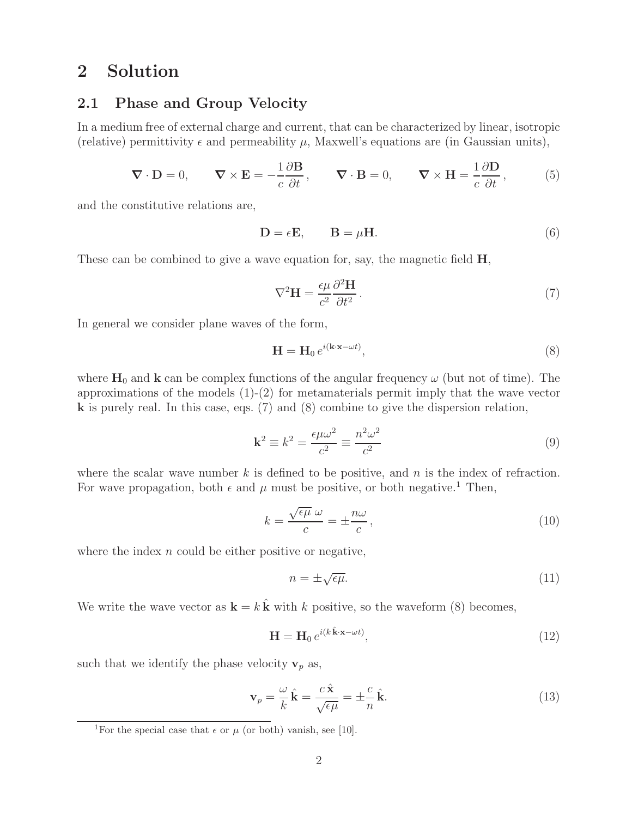# **2 Solution**

### **2.1 Phase and Group Velocity**

In a medium free of external charge and current, that can be characterized by linear, isotropic (relative) permittivity  $\epsilon$  and permeability  $\mu$ , Maxwell's equations are (in Gaussian units),

$$
\nabla \cdot \mathbf{D} = 0, \qquad \nabla \times \mathbf{E} = -\frac{1}{c} \frac{\partial \mathbf{B}}{\partial t}, \qquad \nabla \cdot \mathbf{B} = 0, \qquad \nabla \times \mathbf{H} = \frac{1}{c} \frac{\partial \mathbf{D}}{\partial t}, \tag{5}
$$

and the constitutive relations are,

$$
\mathbf{D} = \epsilon \mathbf{E}, \qquad \mathbf{B} = \mu \mathbf{H}.
$$
 (6)

These can be combined to give a wave equation for, say, the magnetic field **H**,

$$
\nabla^2 \mathbf{H} = \frac{\epsilon \mu}{c^2} \frac{\partial^2 \mathbf{H}}{\partial t^2}.
$$
 (7)

In general we consider plane waves of the form,

$$
\mathbf{H} = \mathbf{H}_0 e^{i(\mathbf{k} \cdot \mathbf{x} - \omega t)},\tag{8}
$$

where  $H_0$  and  $k$  can be complex functions of the angular frequency  $\omega$  (but not of time). The approximations of the models  $(1)-(2)$  for metamaterials permit imply that the wave vector **k** is purely real. In this case, eqs. (7) and (8) combine to give the dispersion relation,

$$
\mathbf{k}^2 \equiv k^2 = \frac{\epsilon \mu \omega^2}{c^2} \equiv \frac{n^2 \omega^2}{c^2} \tag{9}
$$

where the scalar wave number  $k$  is defined to be positive, and  $n$  is the index of refraction. For wave propagation, both  $\epsilon$  and  $\mu$  must be positive, or both negative.<sup>1</sup> Then,

$$
k = \frac{\sqrt{\epsilon \mu} \ \omega}{c} = \pm \frac{n\omega}{c},\tag{10}
$$

where the index  $n$  could be either positive or negative,

$$
n = \pm \sqrt{\epsilon \mu}.\tag{11}
$$

We write the wave vector as  $\mathbf{k} = k \hat{\mathbf{k}}$  with k positive, so the waveform (8) becomes,

$$
\mathbf{H} = \mathbf{H}_0 \, e^{i(k \cdot \hat{\mathbf{k}} \cdot \mathbf{x} - \omega t)},\tag{12}
$$

such that we identify the phase velocity  $\mathbf{v}_p$  as,

$$
\mathbf{v}_p = \frac{\omega}{k}\,\hat{\mathbf{k}} = \frac{c\,\hat{\mathbf{x}}}{\sqrt{\epsilon\mu}} = \pm\frac{c}{n}\,\hat{\mathbf{k}}.\tag{13}
$$

<sup>&</sup>lt;sup>1</sup>For the special case that  $\epsilon$  or  $\mu$  (or both) vanish, see [10].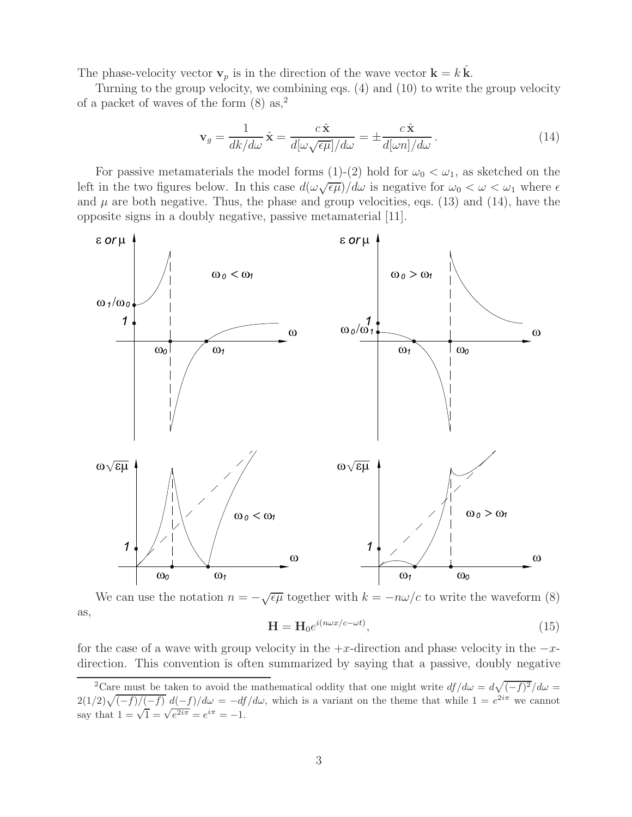The phase-velocity vector  $\mathbf{v}_p$  is in the direction of the wave vector  $\mathbf{k} = k \mathbf{k}$ .

Turning to the group velocity, we combining eqs. (4) and (10) to write the group velocity of a packet of waves of the form  $(8)$  as,<sup>2</sup>

$$
\mathbf{v}_g = \frac{1}{dk/d\omega} \hat{\mathbf{x}} = \frac{c \hat{\mathbf{x}}}{d[\omega \sqrt{\epsilon \mu}]/d\omega} = \pm \frac{c \hat{\mathbf{x}}}{d[\omega n]/d\omega}.
$$
 (14)

For passive metamaterials the model forms (1)-(2) hold for  $\omega_0 < \omega_1$ , as sketched on the left in the two figures below. In this case  $d(\omega \sqrt{\epsilon \mu})/d\omega$  is negative for  $\omega_0 < \omega < \omega_1$  where  $\epsilon$ and  $\mu$  are both negative. Thus, the phase and group velocities, eqs. (13) and (14), have the opposite signs in a doubly negative, passive metamaterial [11].



We can use the notation  $n = -\sqrt{\epsilon\mu}$  together with  $k = -n\omega/c$  to write the waveform (8) as,  $\mathbf{H} = \mathbf{H} e^{\rho i (n\omega x/c - \omega t)}$  $(15)$ 

$$
\mathbf{H} = \mathbf{H}^{(1)}_{\mathbf{0}} \tag{10}
$$

for the case of a wave with group velocity in the  $+x$ -direction and phase velocity in the  $-x$ direction. This convention is often summarized by saying that a passive, doubly negative

<sup>&</sup>lt;sup>2</sup>Care must be taken to avoid the mathematical oddity that one might write  $df/d\omega = d\sqrt{(-f)^2}/d\omega =$  $2(1/2)\sqrt{(-f)/(-f)} d(-f)/d\omega = -df/d\omega$ , which is a variant on the theme that while  $1 = e^{2i\pi}$  we cannot say that  $1 = \sqrt{1} = \sqrt{e^{2i\pi}} = e^{i\pi} = -1$ .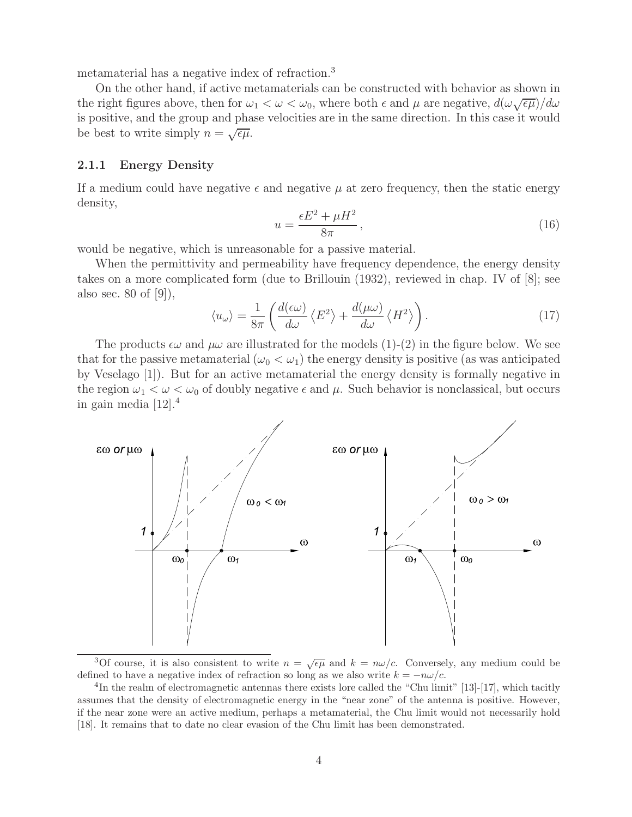metamaterial has a negative index of refraction.<sup>3</sup>

On the other hand, if active metamaterials can be constructed with behavior as shown in the right figures above, then for  $\omega_1 < \omega < \omega_0$ , where both  $\epsilon$  and  $\mu$  are negative,  $d(\omega \sqrt{\epsilon \mu})/d\omega$ is positive, and the group and phase velocities are in the same direction. In this case it would be best to write simply  $n = \sqrt{\epsilon \mu}$ .

#### **2.1.1 Energy Density**

If a medium could have negative  $\epsilon$  and negative  $\mu$  at zero frequency, then the static energy density,

$$
u = \frac{\epsilon E^2 + \mu H^2}{8\pi},\tag{16}
$$

would be negative, which is unreasonable for a passive material.

When the permittivity and permeability have frequency dependence, the energy density takes on a more complicated form (due to Brillouin (1932), reviewed in chap. IV of [8]; see also sec. 80 of [9]),

$$
\langle u_{\omega} \rangle = \frac{1}{8\pi} \left( \frac{d(\epsilon \omega)}{d\omega} \left\langle E^2 \right\rangle + \frac{d(\mu \omega)}{d\omega} \left\langle H^2 \right\rangle \right). \tag{17}
$$

The products  $\epsilon\omega$  and  $\mu\omega$  are illustrated for the models (1)-(2) in the figure below. We see that for the passive metamaterial  $(\omega_0 < \omega_1)$  the energy density is positive (as was anticipated by Veselago [1]). But for an active metamaterial the energy density is formally negative in the region  $\omega_1 < \omega < \omega_0$  of doubly negative  $\epsilon$  and  $\mu$ . Such behavior is nonclassical, but occurs in gain media [12].<sup>4</sup>



<sup>3</sup>Of course, it is also consistent to write  $n = \sqrt{\epsilon \mu}$  and  $k = n\omega/c$ . Conversely, any medium could be defined to have a negative index of refraction so long as we also write  $k = -n\omega/c$ .<br><sup>4</sup>In the realm of electromagnetic antennas there exists lore called the "Chu limit" [13]-[17], which tacitly

assumes that the density of electromagnetic energy in the "near zone" of the antenna is positive. However, if the near zone were an active medium, perhaps a metamaterial, the Chu limit would not necessarily hold [18]. It remains that to date no clear evasion of the Chu limit has been demonstrated.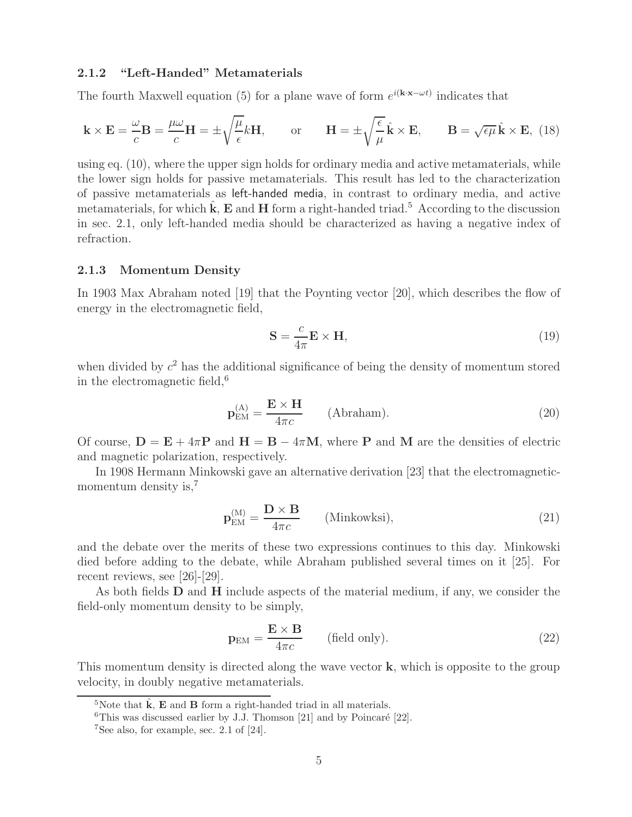#### **2.1.2 "Left-Handed" Metamaterials**

The fourth Maxwell equation (5) for a plane wave of form  $e^{i(k \cdot \mathbf{x} - \omega t)}$  indicates that

$$
\mathbf{k} \times \mathbf{E} = \frac{\omega}{c} \mathbf{B} = \frac{\mu \omega}{c} \mathbf{H} = \pm \sqrt{\frac{\mu}{\epsilon}} k \mathbf{H}, \quad \text{or} \quad \mathbf{H} = \pm \sqrt{\frac{\epsilon}{\mu}} \hat{\mathbf{k}} \times \mathbf{E}, \quad \mathbf{B} = \sqrt{\epsilon \mu} \hat{\mathbf{k}} \times \mathbf{E}, \quad (18)
$$

using eq. (10), where the upper sign holds for ordinary media and active metamaterials, while the lower sign holds for passive metamaterials. This result has led to the characterization of passive metamaterials as left-handed media, in contrast to ordinary media, and active metamaterials, for which  $\hat{k}$ ,  $\hat{E}$  and  $H$  form a right-handed triad.<sup>5</sup> According to the discussion in sec. 2.1, only left-handed media should be characterized as having a negative index of refraction.

#### **2.1.3 Momentum Density**

In 1903 Max Abraham noted [19] that the Poynting vector [20], which describes the flow of energy in the electromagnetic field,

$$
\mathbf{S} = \frac{c}{4\pi} \mathbf{E} \times \mathbf{H},\tag{19}
$$

when divided by  $c^2$  has the additional significance of being the density of momentum stored in the electromagnetic field,  $6$ 

$$
\mathbf{p}_{\text{EM}}^{(\text{A})} = \frac{\mathbf{E} \times \mathbf{H}}{4\pi c} \qquad \text{(Abraham)}.
$$
 (20)

Of course,  $D = E + 4\pi P$  and  $H = B - 4\pi M$ , where P and M are the densities of electric and magnetic polarization, respectively.

In 1908 Hermann Minkowski gave an alternative derivation [23] that the electromagneticmomentum density is,<sup>7</sup>

$$
\mathbf{p}_{\text{EM}}^{(\text{M})} = \frac{\mathbf{D} \times \mathbf{B}}{4\pi c} \qquad \text{(Minkowksi)},\tag{21}
$$

and the debate over the merits of these two expressions continues to this day. Minkowski died before adding to the debate, while Abraham published several times on it [25]. For recent reviews, see [26]-[29].

As both fields **D** and **H** include aspects of the material medium, if any, we consider the field-only momentum density to be simply,

$$
\mathbf{p}_{\text{EM}} = \frac{\mathbf{E} \times \mathbf{B}}{4\pi c} \qquad \text{(field only).} \tag{22}
$$

This momentum density is directed along the wave vector **k**, which is opposite to the group velocity, in doubly negative metamaterials.

<sup>&</sup>lt;sup>5</sup>Note that  $\hat{\mathbf{k}}$ ,  $\mathbf{E}$  and  $\mathbf{B}$  form a right-handed triad in all materials.

<sup>&</sup>lt;sup>6</sup>This was discussed earlier by J.J. Thomson [21] and by Poincaré [22].

<sup>7</sup>See also, for example, sec. 2.1 of [24].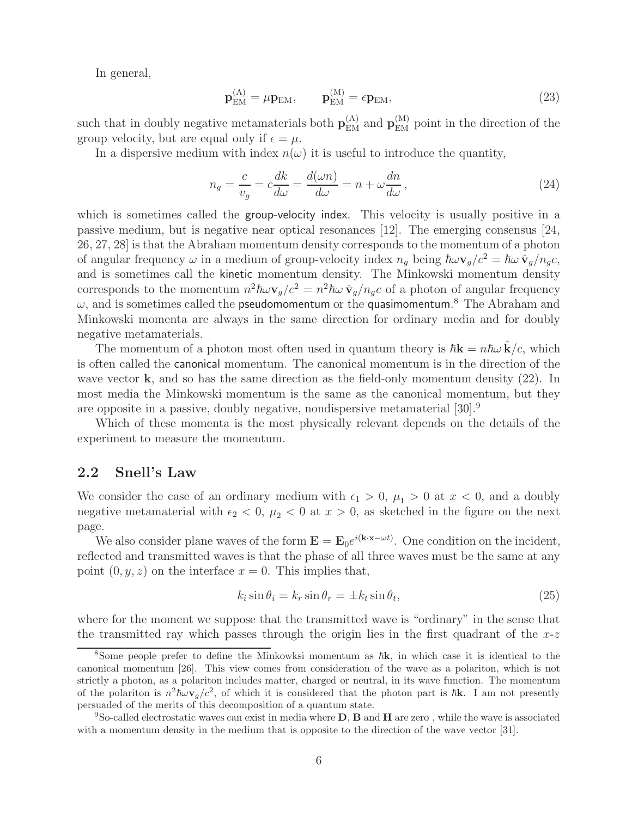In general,

$$
\mathbf{p}_{\text{EM}}^{(A)} = \mu \mathbf{p}_{\text{EM}}, \qquad \mathbf{p}_{\text{EM}}^{(M)} = \epsilon \mathbf{p}_{\text{EM}}, \tag{23}
$$

such that in doubly negative metamaterials both  $\mathbf{p}_{\text{EM}}^{(A)}$  and  $\mathbf{p}_{\text{EM}}^{(M)}$  point in the direction of the group velocity, but are equal only if  $\epsilon = \mu$ .

In a dispersive medium with index  $n(\omega)$  it is useful to introduce the quantity,

$$
n_g = \frac{c}{v_g} = c \frac{dk}{d\omega} = \frac{d(\omega n)}{d\omega} = n + \omega \frac{dn}{d\omega},\qquad(24)
$$

which is sometimes called the group-velocity index. This velocity is usually positive in a passive medium, but is negative near optical resonances [12]. The emerging consensus [24, 26, 27, 28] is that the Abraham momentum density corresponds to the momentum of a photon of angular frequency  $\omega$  in a medium of group-velocity index  $n_g$  being  $\hbar \omega \mathbf{v}_g/c^2 = \hbar \omega \hat{\mathbf{v}}_g/n_g c$ , and is sometimes call the kinetic momentum density. The Minkowski momentum density corresponds to the momentum  $n^2 \hbar \omega \mathbf{v}_g/c^2 = n^2 \hbar \omega \hat{\mathbf{v}}_g/n_g c$  of a photon of angular frequency  $\omega$ , and is sometimes called the pseudomomentum or the quasimomentum.<sup>8</sup> The Abraham and Minkowski momenta are always in the same direction for ordinary media and for doubly negative metamaterials.

The momentum of a photon most often used in quantum theory is  $\hbar \mathbf{k} = n \hbar \omega \hat{\mathbf{k}}/c$ , which is often called the canonical momentum. The canonical momentum is in the direction of the wave vector **k**, and so has the same direction as the field-only momentum density (22). In most media the Minkowski momentum is the same as the canonical momentum, but they are opposite in a passive, doubly negative, nondispersive metamaterial [30].<sup>9</sup>

Which of these momenta is the most physically relevant depends on the details of the experiment to measure the momentum.

### **2.2 Snell's Law**

We consider the case of an ordinary medium with  $\epsilon_1 > 0$ ,  $\mu_1 > 0$  at  $x < 0$ , and a doubly negative metamaterial with  $\epsilon_2 < 0$ ,  $\mu_2 < 0$  at  $x > 0$ , as sketched in the figure on the next page.

We also consider plane waves of the form  $\mathbf{E} = \mathbf{E}_0 e^{i(\mathbf{k} \cdot \mathbf{x} - \omega t)}$ . One condition on the incident, reflected and transmitted waves is that the phase of all three waves must be the same at any point  $(0, y, z)$  on the interface  $x = 0$ . This implies that,

$$
k_i \sin \theta_i = k_r \sin \theta_r = \pm k_t \sin \theta_t, \qquad (25)
$$

where for the moment we suppose that the transmitted wave is "ordinary" in the sense that the transmitted ray which passes through the origin lies in the first quadrant of the  $x-z$ 

<sup>&</sup>lt;sup>8</sup>Some people prefer to define the Minkowksi momentum as  $\hbar$ **k**, in which case it is identical to the canonical momentum [26]. This view comes from consideration of the wave as a polariton, which is not strictly a photon, as a polariton includes matter, charged or neutral, in its wave function. The momentum of the polariton is  $n^2 \hbar \omega \mathbf{v}_g/c^2$ , of which it is considered that the photon part is  $\hbar \mathbf{k}$ . I am not presently persuaded of the merits of this decomposition of a quantum state.

<sup>9</sup>So-called electrostatic waves can exist in media where **D**, **B** and **H** are zero , while the wave is associated with a momentum density in the medium that is opposite to the direction of the wave vector [31].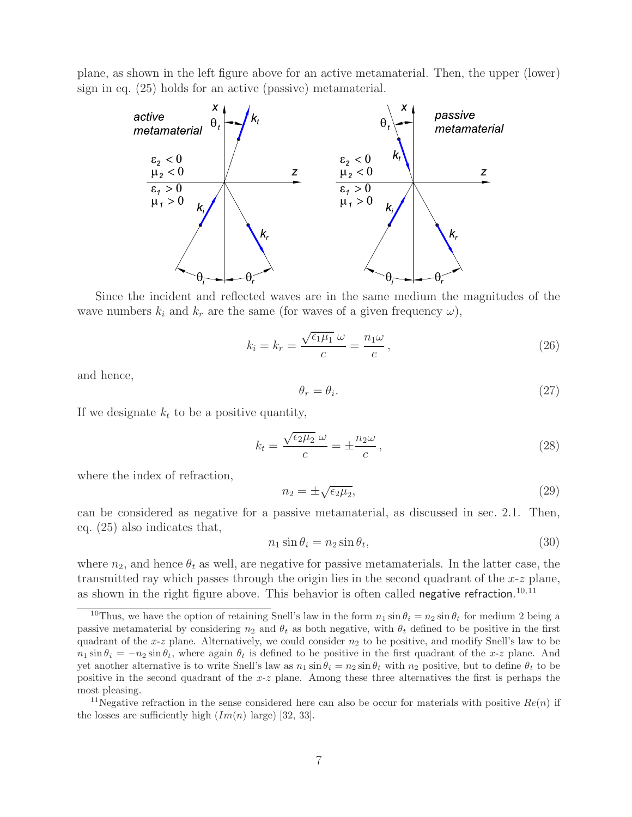plane, as shown in the left figure above for an active metamaterial. Then, the upper (lower) sign in eq. (25) holds for an active (passive) metamaterial.



Since the incident and reflected waves are in the same medium the magnitudes of the wave numbers  $k_i$  and  $k_r$  are the same (for waves of a given frequency  $\omega$ ),

$$
k_i = k_r = \frac{\sqrt{\epsilon_1 \mu_1} \ \omega}{c} = \frac{n_1 \omega}{c},\tag{26}
$$

and hence,

$$
\theta_r = \theta_i. \tag{27}
$$

If we designate  $k_t$  to be a positive quantity,

$$
k_t = \frac{\sqrt{\epsilon_2 \mu_2} \omega}{c} = \pm \frac{n_2 \omega}{c},\qquad(28)
$$

where the index of refraction,

$$
n_2 = \pm \sqrt{\epsilon_2 \mu_2},\tag{29}
$$

can be considered as negative for a passive metamaterial, as discussed in sec. 2.1. Then, eq. (25) also indicates that,

$$
n_1 \sin \theta_i = n_2 \sin \theta_t,\tag{30}
$$

where  $n_2$ , and hence  $\theta_t$  as well, are negative for passive metamaterials. In the latter case, the transmitted ray which passes through the origin lies in the second quadrant of the  $x-z$  plane, as shown in the right figure above. This behavior is often called negative refraction.<sup>10,11</sup>

<sup>&</sup>lt;sup>10</sup>Thus, we have the option of retaining Snell's law in the form  $n_1 \sin \theta_i = n_2 \sin \theta_t$  for medium 2 being a passive metamaterial by considering  $n_2$  and  $\theta_t$  as both negative, with  $\theta_t$  defined to be positive in the first quadrant of the  $x-z$  plane. Alternatively, we could consider  $n_2$  to be positive, and modify Snell's law to be  $n_1 \sin \theta_i = -n_2 \sin \theta_i$ , where again  $\theta_t$  is defined to be positive in the first quadrant of the x-z plane. And yet another alternative is to write Snell's law as  $n_1 \sin \theta_i = n_2 \sin \theta_t$  with  $n_2$  positive, but to define  $\theta_t$  to be positive in the second quadrant of the  $x-z$  plane. Among these three alternatives the first is perhaps the most pleasing.

<sup>&</sup>lt;sup>11</sup>Negative refraction in the sense considered here can also be occur for materials with positive  $Re(n)$  if the losses are sufficiently high  $(Im(n) \text{ large})$  [32, 33].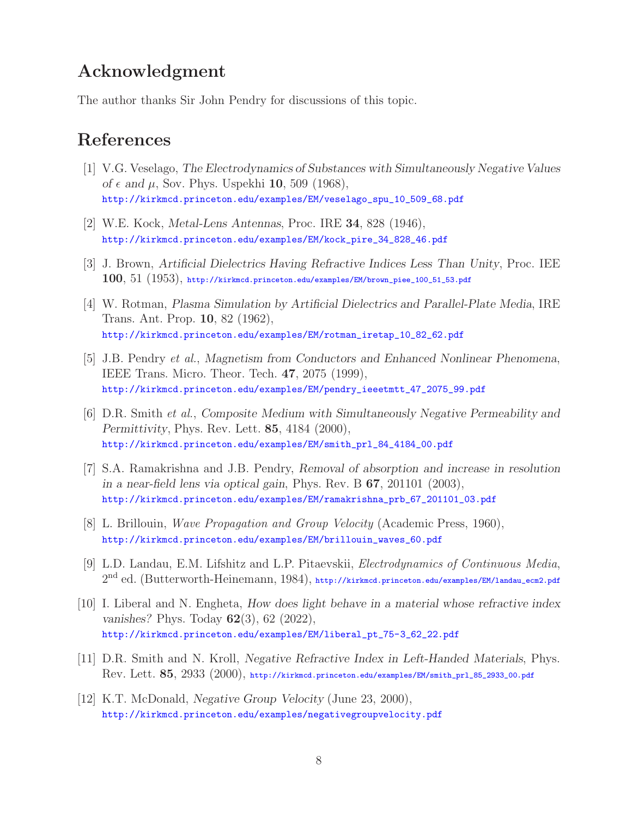## **Acknowledgment**

The author thanks Sir John Pendry for discussions of this topic.

## **References**

- [1] V.G. Veselago, *The Electrodynamics of Substances with Simultaneously Negative Values of*  $\epsilon$  and  $\mu$ , Sov. Phys. Uspekhi **10**, 509 (1968), http://kirkmcd.princeton.edu/examples/EM/veselago\_spu\_10\_509\_68.pdf
- [2] W.E. Kock, *Metal-Lens Antennas*, Proc. IRE **34**, 828 (1946), http://kirkmcd.princeton.edu/examples/EM/kock\_pire\_34\_828\_46.pdf
- [3] J. Brown, *Artificial Dielectrics Having Refractive Indices Less Than Unity*, Proc. IEE **100**, 51 (1953), http://kirkmcd.princeton.edu/examples/EM/brown\_piee\_100\_51\_53.pdf
- [4] W. Rotman, *Plasma Simulation by Artificial Dielectrics and Parallel-Plate Media*, IRE Trans. Ant. Prop. **10**, 82 (1962), http://kirkmcd.princeton.edu/examples/EM/rotman\_iretap\_10\_82\_62.pdf
- [5] J.B. Pendry *et al.*, *Magnetism from Conductors and Enhanced Nonlinear Phenomena*, IEEE Trans. Micro. Theor. Tech. **47**, 2075 (1999), http://kirkmcd.princeton.edu/examples/EM/pendry\_ieeetmtt\_47\_2075\_99.pdf
- [6] D.R. Smith *et al.*, *Composite Medium with Simultaneously Negative Permeability and Permittivity*, Phys. Rev. Lett. **85**, 4184 (2000), http://kirkmcd.princeton.edu/examples/EM/smith\_prl\_84\_4184\_00.pdf
- [7] S.A. Ramakrishna and J.B. Pendry, *Removal of absorption and increase in resolution in a near-field lens via optical gain*, Phys. Rev. B **67**, 201101 (2003), http://kirkmcd.princeton.edu/examples/EM/ramakrishna\_prb\_67\_201101\_03.pdf
- [8] L. Brillouin, *Wave Propagation and Group Velocity* (Academic Press, 1960), http://kirkmcd.princeton.edu/examples/EM/brillouin\_waves\_60.pdf
- [9] L.D. Landau, E.M. Lifshitz and L.P. Pitaevskii, *Electrodynamics of Continuous Media*,  $2<sup>nd</sup>$  ed. (Butterworth-Heinemann, 1984), http://kirkmcd.princeton.edu/examples/EM/landau\_ecm2.pdf
- [10] I. Liberal and N. Engheta, *How does light behave in a material whose refractive index vanishes?* Phys. Today **62**(3), 62 (2022), http://kirkmcd.princeton.edu/examples/EM/liberal\_pt\_75-3\_62\_22.pdf
- [11] D.R. Smith and N. Kroll, *Negative Refractive Index in Left-Handed Materials*, Phys. Rev. Lett. **85**, 2933 (2000), http://kirkmcd.princeton.edu/examples/EM/smith\_prl\_85\_2933\_00.pdf
- [12] K.T. McDonald, *Negative Group Velocity* (June 23, 2000), http://kirkmcd.princeton.edu/examples/negativegroupvelocity.pdf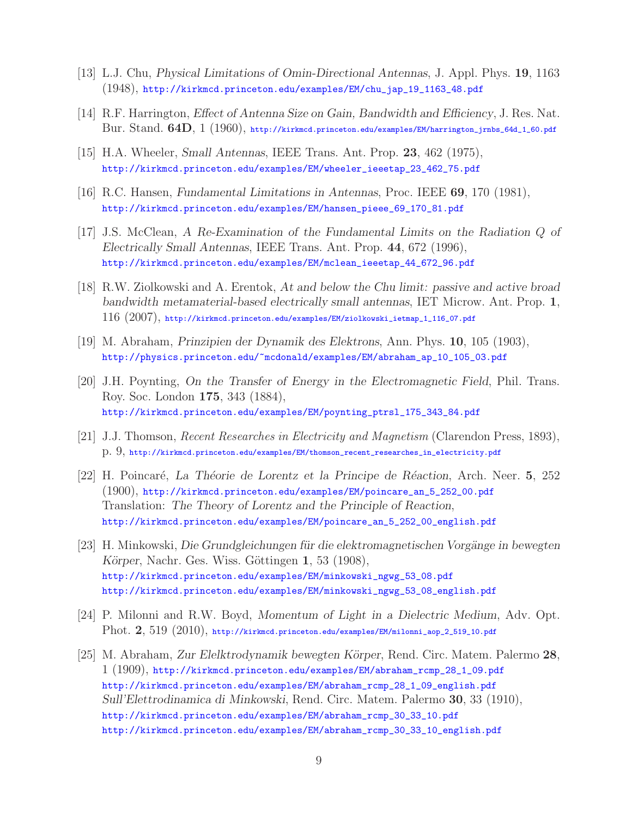- [13] L.J. Chu, *Physical Limitations of Omin-Directional Antennas*, J. Appl. Phys. **19**, 1163 (1948), http://kirkmcd.princeton.edu/examples/EM/chu\_jap\_19\_1163\_48.pdf
- [14] R.F. Harrington, *Effect of Antenna Size on Gain, Bandwidth and Efficiency*, J. Res. Nat. Bur. Stand. **64D**, 1 (1960), http://kirkmcd.princeton.edu/examples/EM/harrington\_jrnbs\_64d\_1\_60.pdf
- [15] H.A. Wheeler, *Small Antennas*, IEEE Trans. Ant. Prop. **23**, 462 (1975), http://kirkmcd.princeton.edu/examples/EM/wheeler\_ieeetap\_23\_462\_75.pdf
- [16] R.C. Hansen, *Fundamental Limitations in Antennas*, Proc. IEEE **69**, 170 (1981), http://kirkmcd.princeton.edu/examples/EM/hansen\_pieee\_69\_170\_81.pdf
- [17] J.S. McClean, *A Re-Examination of the Fundamental Limits on the Radiation* Q *of Electrically Small Antennas*, IEEE Trans. Ant. Prop. **44**, 672 (1996), http://kirkmcd.princeton.edu/examples/EM/mclean\_ieeetap\_44\_672\_96.pdf
- [18] R.W. Ziolkowski and A. Erentok, *At and below the Chu limit: passive and active broad bandwidth metamaterial-based electrically small antennas*, IET Microw. Ant. Prop. **1**, 116 (2007), http://kirkmcd.princeton.edu/examples/EM/ziolkowski\_ietmap\_1\_116\_07.pdf
- [19] M. Abraham, *Prinzipien der Dynamik des Elektrons*, Ann. Phys. **10**, 105 (1903), http://physics.princeton.edu/~mcdonald/examples/EM/abraham\_ap\_10\_105\_03.pdf
- [20] J.H. Poynting, *On the Transfer of Energy in the Electromagnetic Field*, Phil. Trans. Roy. Soc. London **175**, 343 (1884), http://kirkmcd.princeton.edu/examples/EM/poynting\_ptrsl\_175\_343\_84.pdf
- [21] J.J. Thomson, *Recent Researches in Electricity and Magnetism* (Clarendon Press, 1893), p. 9, http://kirkmcd.princeton.edu/examples/EM/thomson\_recent\_researches\_in\_electricity.pdf
- [22] H. Poincar´e, *La Th´eorie de Lorentz et la Principe de R´eaction*, Arch. Neer. **5**, 252 (1900), http://kirkmcd.princeton.edu/examples/EM/poincare\_an\_5\_252\_00.pdf Translation: *The Theory of Lorentz and the Principle of Reaction*, http://kirkmcd.princeton.edu/examples/EM/poincare\_an\_5\_252\_00\_english.pdf
- [23] H. Minkowski, *Die Grundgleichungen für die elektromagnetischen Vorgänge in bewegten Körper*, Nachr. Ges. Wiss. Göttingen **1**, 53 (1908), http://kirkmcd.princeton.edu/examples/EM/minkowski\_ngwg\_53\_08.pdf http://kirkmcd.princeton.edu/examples/EM/minkowski\_ngwg\_53\_08\_english.pdf
- [24] P. Milonni and R.W. Boyd, *Momentum of Light in a Dielectric Medium*, Adv. Opt. Phot. **2**, 519 (2010), http://kirkmcd.princeton.edu/examples/EM/milonni\_aop\_2\_519\_10.pdf
- [25] M. Abraham, *Zur Elelktrodynamik bewegten K¨orper*, Rend. Circ. Matem. Palermo **28**, 1 (1909), http://kirkmcd.princeton.edu/examples/EM/abraham\_rcmp\_28\_1\_09.pdf http://kirkmcd.princeton.edu/examples/EM/abraham\_rcmp\_28\_1\_09\_english.pdf *Sull'Elettrodinamica di Minkowski*, Rend. Circ. Matem. Palermo **30**, 33 (1910), http://kirkmcd.princeton.edu/examples/EM/abraham\_rcmp\_30\_33\_10.pdf http://kirkmcd.princeton.edu/examples/EM/abraham\_rcmp\_30\_33\_10\_english.pdf